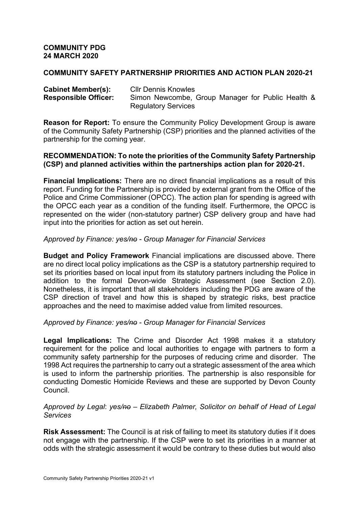### **COMMUNITY PDG 24 MARCH 2020**

## **COMMUNITY SAFETY PARTNERSHIP PRIORITIES AND ACTION PLAN 2020-21**

| <b>Cabinet Member(s):</b>   | <b>CIIr Dennis Knowles</b>                        |
|-----------------------------|---------------------------------------------------|
| <b>Responsible Officer:</b> | Simon Newcombe, Group Manager for Public Health & |
|                             | <b>Regulatory Services</b>                        |

**Reason for Report:** To ensure the Community Policy Development Group is aware of the Community Safety Partnership (CSP) priorities and the planned activities of the partnership for the coming year.

### **RECOMMENDATION: To note the priorities of the Community Safety Partnership (CSP) and planned activities within the partnerships action plan for 2020-21.**

**Financial Implications:** There are no direct financial implications as a result of this report. Funding for the Partnership is provided by external grant from the Office of the Police and Crime Commissioner (OPCC). The action plan for spending is agreed with the OPCC each year as a condition of the funding itself. Furthermore, the OPCC is represented on the wider (non-statutory partner) CSP delivery group and have had input into the priorities for action as set out herein.

## *Approved by Finance: yes/no - Group Manager for Financial Services*

**Budget and Policy Framework** Financial implications are discussed above. There are no direct local policy implications as the CSP is a statutory partnership required to set its priorities based on local input from its statutory partners including the Police in addition to the formal Devon-wide Strategic Assessment (see Section 2.0). Nonetheless, it is important that all stakeholders including the PDG are aware of the CSP direction of travel and how this is shaped by strategic risks, best practice approaches and the need to maximise added value from limited resources.

## *Approved by Finance: yes/no - Group Manager for Financial Services*

**Legal Implications:** The Crime and Disorder Act 1998 makes it a statutory requirement for the police and local authorities to engage with partners to form a community safety partnership for the purposes of reducing crime and disorder. The 1998 Act requires the partnership to carry out a strategic assessment of the area which is used to inform the partnership priorities. The partnership is also responsible for conducting Domestic Homicide Reviews and these are supported by Devon County Council.

#### *Approved by Legal*: *yes/no – Elizabeth Palmer, Solicitor on behalf of Head of Legal Services*

**Risk Assessment:** The Council is at risk of failing to meet its statutory duties if it does not engage with the partnership. If the CSP were to set its priorities in a manner at odds with the strategic assessment it would be contrary to these duties but would also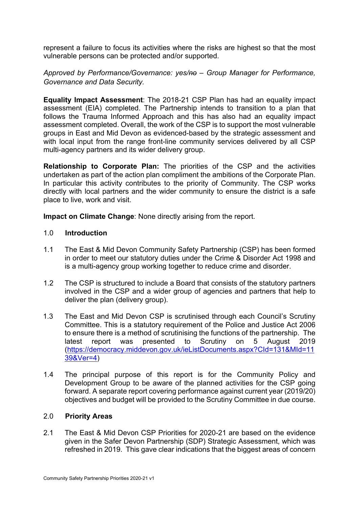represent a failure to focus its activities where the risks are highest so that the most vulnerable persons can be protected and/or supported.

# *Approved by Performance/Governance: yes/no – Group Manager for Performance, Governance and Data Security.*

**Equality Impact Assessment**: The 2018-21 CSP Plan has had an equality impact assessment (EIA) completed. The Partnership intends to transition to a plan that follows the Trauma Informed Approach and this has also had an equality impact assessment completed. Overall, the work of the CSP is to support the most vulnerable groups in East and Mid Devon as evidenced-based by the strategic assessment and with local input from the range front-line community services delivered by all CSP multi-agency partners and its wider delivery group.

**Relationship to Corporate Plan:** The priorities of the CSP and the activities undertaken as part of the action plan compliment the ambitions of the Corporate Plan. In particular this activity contributes to the priority of Community. The CSP works directly with local partners and the wider community to ensure the district is a safe place to live, work and visit.

**Impact on Climate Change**: None directly arising from the report.

# 1.0 **Introduction**

- 1.1 The East & Mid Devon Community Safety Partnership (CSP) has been formed in order to meet our statutory duties under the Crime & Disorder Act 1998 and is a multi-agency group working together to reduce crime and disorder.
- 1.2 The CSP is structured to include a Board that consists of the statutory partners involved in the CSP and a wider group of agencies and partners that help to deliver the plan (delivery group).
- 1.3 The East and Mid Devon CSP is scrutinised through each Council's Scrutiny Committee. This is a statutory requirement of the Police and Justice Act 2006 to ensure there is a method of scrutinising the functions of the partnership. The latest report was presented to Scrutiny on 5 August 2019 [\(https://democracy.middevon.gov.uk/ieListDocuments.aspx?CId=131&MId=11](https://democracy.middevon.gov.uk/ieListDocuments.aspx?CId=131&MId=1139&Ver=4) [39&Ver=4](https://democracy.middevon.gov.uk/ieListDocuments.aspx?CId=131&MId=1139&Ver=4))
- 1.4 The principal purpose of this report is for the Community Policy and Development Group to be aware of the planned activities for the CSP going forward. A separate report covering performance against current year (2019/20) objectives and budget will be provided to the Scrutiny Committee in due course.

## 2.0 **Priority Areas**

2.1 The East & Mid Devon CSP Priorities for 2020-21 are based on the evidence given in the Safer Devon Partnership (SDP) Strategic Assessment, which was refreshed in 2019. This gave clear indications that the biggest areas of concern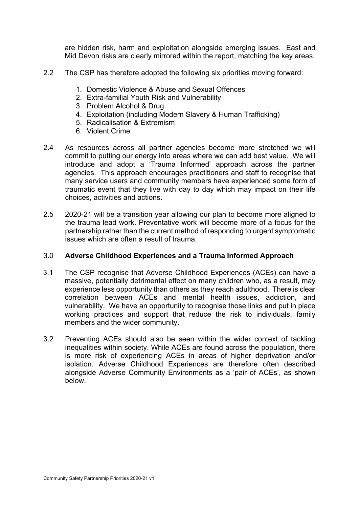are hidden risk, harm and exploitation alongside emerging issues. East and Mid Devon risks are clearly mirrored within the report, matching the key areas.

- 2.2 The CSP has therefore adopted the following six priorities moving forward:
	- 1. Domestic Violence & Abuse and Sexual Offences
	- 2. Extra-familial Youth Risk and Vulnerability
	- 3. Problem Alcohol & Drug
	- 4. Exploitation (including Modern Slavery & Human Trafficking)
	- 5. Radicalisation & Extremism
	- 6. Violent Crime
- 2.4 As resources across all partner agencies become more stretched we will commit to putting our energy into areas where we can add best value. We will introduce and adopt a 'Trauma Informed' approach across the partner agencies. This approach encourages practitioners and staff to recognise that many service users and community members have experienced some form of traumatic event that they live with day to day which may impact on their life choices, activities and actions.
- 2.5 2020-21 will be a transition year allowing our plan to become more aligned to the trauma lead work. Preventative work will become more of a focus for the partnership rather than the current method of responding to urgent symptomatic issues which are often a result of trauma.

#### 3.0 **Adverse Childhood Experiences and a Trauma Informed Approach**

- 3.1 The CSP recognise that Adverse Childhood Experiences (ACEs) can have a massive, potentially detrimental effect on many children who, as a result, may experience less opportunity than others as they reach adulthood. There is clear correlation between ACEs and mental health issues, addiction, and vulnerability. We have an opportunity to recognise those links and put in place working practices and support that reduce the risk to individuals, family members and the wider community.
- 3.2 Preventing ACEs should also be seen within the wider context of tackling inequalities within society. While ACEs are found across the population, there is more risk of experiencing ACEs in areas of higher deprivation and/or isolation. Adverse Childhood Experiences are therefore often described alongside Adverse Community Environments as a 'pair of ACEs', as shown below.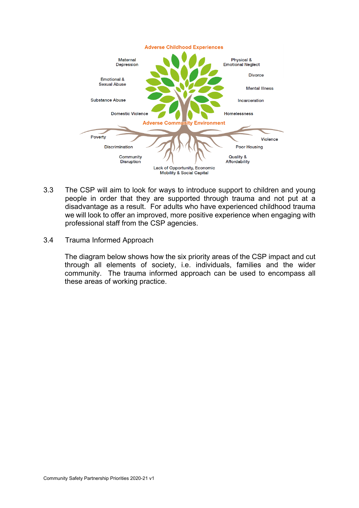

- 3.3 The CSP will aim to look for ways to introduce support to children and young people in order that they are supported through trauma and not put at a disadvantage as a result. For adults who have experienced childhood trauma we will look to offer an improved, more positive experience when engaging with professional staff from the CSP agencies.
- 3.4 Trauma Informed Approach

The diagram below shows how the six priority areas of the CSP impact and cut through all elements of society, i.e. individuals, families and the wider community. The trauma informed approach can be used to encompass all these areas of working practice.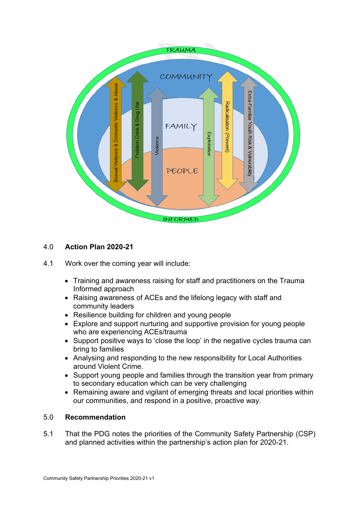

# 4.0 **Action Plan 2020-21**

- 4.1 Work over the coming year will include:
	- Training and awareness raising for staff and practitioners on the Trauma Informed approach
	- Raising awareness of ACEs and the lifelong legacy with staff and community leaders
	- Resilience building for children and young people
	- Explore and support nurturing and supportive provision for young people who are experiencing ACEs/trauma
	- Support positive ways to 'close the loop' in the negative cycles trauma can bring to families
	- Analysing and responding to the new responsibility for Local Authorities around Violent Crime.
	- Support young people and families through the transition year from primary to secondary education which can be very challenging
	- Remaining aware and vigilant of emerging threats and local priorities within our communities, and respond in a positive, proactive way.

## 5.0 **Recommendation**

5.1 That the PDG notes the priorities of the Community Safety Partnership (CSP) and planned activities within the partnership's action plan for 2020-21.